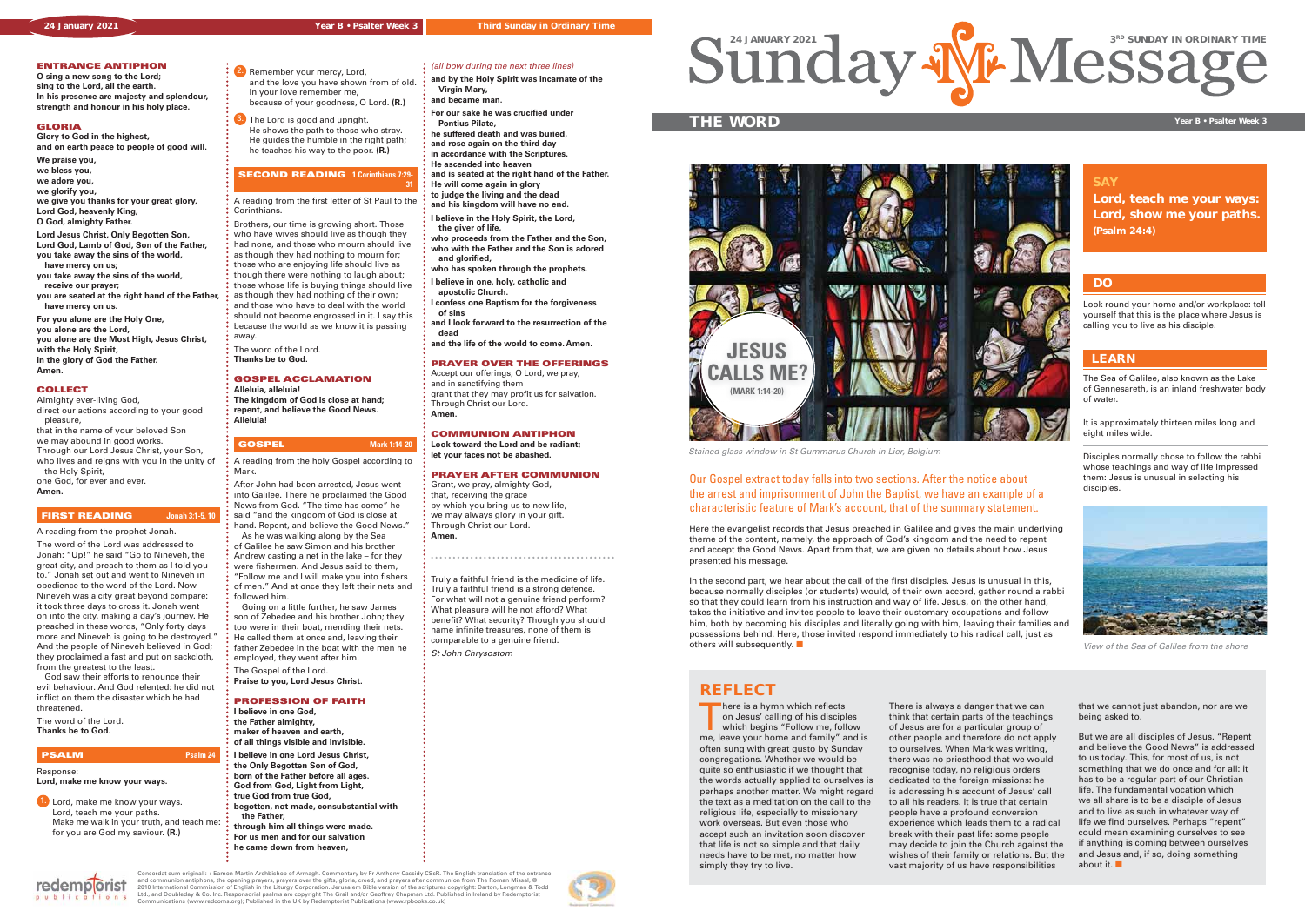





## **ENTRANCE ANTIPHON**

**O sing a new song to the Lord; sing to the Lord, all the earth. In his presence are majesty and splendour, strength and honour in his holy place.**

### **GLORIA**

**Glory to God in the highest, and on earth peace to people of good will.**

**We praise you, we bless you, we adore you, we glorify you, we give you thanks for your great glory, Lord God, heavenly King, O God, almighty Father.**

**Lord Jesus Christ, Only Begotten Son, Lord God, Lamb of God, Son of the Father, you take away the sins of the world, have mercy on us;**

**you take away the sins of the world, receive our prayer;**

**you are seated at the right hand of the Father, have mercy on us.**

**For you alone are the Holy One, you alone are the Lord, you alone are the Most High, Jesus Christ, with the Holy Spirit, in the glory of God the Father. Amen.**

# 2. Remember your mercy, Lord, and the love you have shown from of old.

# **COLLECT**

Almighty ever-living God, direct our actions according to your good pleasure,

**3.** The Lord is good and upright. He shows the path to those who stray. He guides the humble in the right path; he teaches his way to the poor. **(R.)**

that in the name of your beloved Son

we may abound in good works. Through our Lord Jesus Christ, your Son,

who lives and reigns with you in the unity of the Holy Spirit,

one God, for ever and ever.

# **Amen.**

### **FIRST READING Jonah 3:1-5. 10**

A reading from the prophet Jonah. The word of the Lord was addressed to Jonah: "Up!" he said "Go to Nineveh, the great city, and preach to them as I told you to." Jonah set out and went to Nineveh in obedience to the word of the Lord. Now Nineveh was a city great beyond compare: it took three days to cross it. Jonah went on into the city, making a day's journey. He preached in these words, "Only forty days more and Nineveh is going to be destroyed." And the people of Nineveh believed in God; they proclaimed a fast and put on sackcloth, from the greatest to the least.

 God saw their efforts to renounce their evil behaviour. And God relented: he did not inflict on them the disaster which he had threatened.

The word of the Lord. **Thanks be to God.** 

redemporist

# **PSALM Psalm 24**

### Response: **Lord, make me know your ways.**

1. Lord, make me know your ways. Lord, teach me your paths. Make me walk in your truth, and teach me: for you are God my saviour. **(R.)**

 In your love remember me, because of your goodness, O Lord. **(R.)**

# **SECOND READING 1 Corinthians 7:29-**

**31**

# Sundary 2021 de Control and The Sunday In ORDINARY TIME

A reading from the first letter of St Paul to the Corinthians.

Brothers, our time is growing short. Those who have wives should live as though they had none, and those who mourn should live as though they had nothing to mourn for; those who are enjoying life should live as though there were nothing to laugh about; those whose life is buying things should live as though they had nothing of their own; and those who have to deal with the world should not become engrossed in it. I say this because the world as we know it is passing

away. The word of the Lord.

**Thanks be to God.**

- **GOSPEL ACCLAMATION**
- **Alleluia, alleluia!**

**The kingdom of God is close at hand; repent, and believe the Good News. Alleluia!**

# **GOSPEL Mark 1:14-20**

In the second part, we hear about the call of the first disciples. Jesus is unusual in this, because normally disciples (or students) would, of their own accord, gather round a rabbi so that they could learn from his instruction and way of life. Jesus, on the other hand, takes the initiative and invites people to leave their customary occupations and follow him, both by becoming his disciples and literally going with him, leaving their families and possessions behind. Here, those invited respond immediately to his radical call, just as others will subsequently.  $\square$ 

- A reading from the holy Gospel according to Mark.
- After John had been arrested, Jesus went into Galilee. There he proclaimed the Good News from God. "The time has come" he said "and the kingdom of God is close at hand. Repent, and believe the Good News." As he was walking along by the Sea of Galilee he saw Simon and his brother Andrew casting a net in the lake – for they were fishermen. And Jesus said to them, "Follow me and I will make you into fishers of men." And at once they left their nets and followed him.

There is a hymn which reflects on Jesus' calling of his disciples which begins "Follow me, follow me, leave your home and family" and is often sung with great gusto by Sunday congregations. Whether we would be quite so enthusiastic if we thought that the words actually applied to ourselves is perhaps another matter. We might regard the text as a meditation on the call to the religious life, especially to missionary work overseas. But even those who accept such an invitation soon discover that life is not so simple and that daily needs have to be met, no matter how simply they try to live.

 Going on a little further, he saw James son of Zebedee and his brother John; they too were in their boat, mending their nets. He called them at once and, leaving their father Zebedee in the boat with the men he employed, they went after him.

- The Gospel of the Lord.
- **Praise to you, Lord Jesus Christ.**

### **PROFESSION OF FAITH**

But we are all disciples of Jesus. "Repent and believe the Good News" is addressed to us today. This, for most of us, is not something that we do once and for all: it has to be a regular part of our Christian life. The fundamental vocation which we all share is to be a disciple of Jesus and to live as such in whatever way of life we find ourselves. Perhaps "repent" could mean examining ourselves to see if anything is coming between ourselves and Jesus and, if so, doing something about it.  $\blacksquare$ 

- **I believe in one God,**
- **the Father almighty,**
- **maker of heaven and earth, of all things visible and invisible.**
- **I believe in one Lord Jesus Christ,**
- **the Only Begotten Son of God,**
- **born of the Father before all ages.**
- **God from God, Light from Light, true God from true God,**
- **begotten, not made, consubstantial with the Father;**
- **through him all things were made. For us men and for our salvation**
- **he came down from heaven,**

**and by the Holy Spirit was incarnate of the Virgin Mary, and became man.**

**For our sake he was crucified under Pontius Pilate,**

: (all bow during the next three lines)

**he suffered death and was buried, and rose again on the third day in accordance with the Scriptures.**

**He ascended into heaven and is seated at the right hand of the Father.**

**He will come again in glory to judge the living and the dead**

**and his kingdom will have no end. I believe in the Holy Spirit, the Lord,** 

 **the giver of life,**

**who proceeds from the Father and the Son, who with the Father and the Son is adored and glorified,** 

**who has spoken through the prophets.**

- **I believe in one, holy, catholic and apostolic Church.**
- **I confess one Baptism for the forgiveness of sins**

**and I look forward to the resurrection of the dead** 

**and the life of the world to come. Amen.**

# **PRAYER OVER THE OFFERINGS**

Accept our offerings, O Lord, we pray, and in sanctifying them grant that they may profit us for salvation. Through Christ our Lord. **Amen.**

### **COMMUNION ANTIPHON**

**Look toward the Lord and be radiant; let your faces not be abashed.**

### **PRAYER AFTER COMMUNION**

Grant, we pray, almighty God, that, receiving the grace by which you bring us to new life, we may always glory in your gift. Through Christ our Lord. **Amen.**

Truly a faithful friend is the medicine of life. Truly a faithful friend is a strong defence. For what will not a genuine friend perform? What pleasure will he not afford? What benefit? What security? Though you should name infinite treasures, none of them is comparable to a genuine friend. St John Chrysostom

# **SAY**

**Lord, teach me your ways: Lord, show me your paths. (Psalm 24:4)**

# **THE WORD Year B • Psalter Week 3**

The Sea of Galilee, also known as the Lake of Gennesareth, is an inland freshwater body of water.

It is approximately thirteen miles long and eight miles wide.

Disciples normally chose to follow the rabbi whose teachings and way of life impressed them: Jesus is unusual in selecting his disciples.

# **LEARN**

Our Gospel extract today falls into two sections. After the notice about the arrest and imprisonment of John the Baptist, we have an example of a characteristic feature of Mark's account, that of the summary statement.

Here the evangelist records that Jesus preached in Galilee and gives the main underlying theme of the content, namely, the approach of God's kingdom and the need to repent and accept the Good News. Apart from that, we are given no details about how Jesus presented his message.

> There is always a danger that we can think that certain parts of the teachings of Jesus are for a particular group of other people and therefore do not apply to ourselves. When Mark was writing, there was no priesthood that we would recognise today, no religious orders dedicated to the foreign missions: he is addressing his account of Jesus' call to all his readers. It is true that certain people have a profound conversion experience which leads them to a radical break with their past life: some people may decide to join the Church against the wishes of their family or relations. But the vast majority of us have responsibilities

that we cannot just abandon, nor are we being asked to.

# **REFLECT**

Look round your home and/or workplace: tell yourself that this is the place where Jesus is calling you to live as his disciple.

# **DO**



Stained glass window in St Gummarus Church in Lier, Belgium



View of the Sea of Galilee from the shore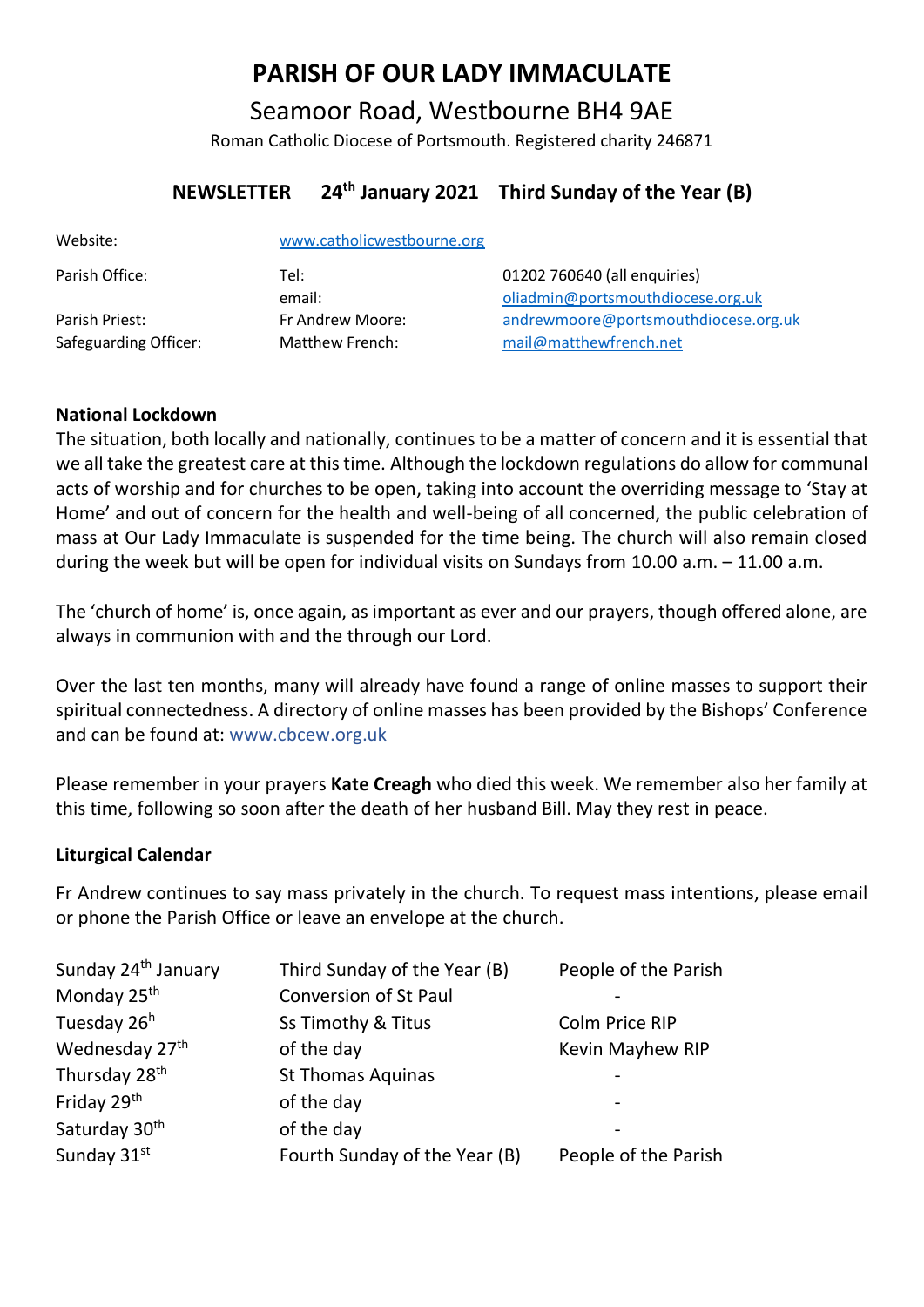# **PARISH OF OUR LADY IMMACULATE**

Seamoor Road, Westbourne BH4 9AE Roman Catholic Diocese of Portsmouth. Registered charity 246871

# **NEWSLETTER 24th January 2021 Third Sunday of the Year (B)**

| Website:                                | www.catholicwestbourne.org          |                                                                   |
|-----------------------------------------|-------------------------------------|-------------------------------------------------------------------|
| Parish Office:                          | Tel:<br>email:                      | 01202 760640 (all enquiries)<br>oliadmin@portsmouthdiocese.org.uk |
| Parish Priest:<br>Safeguarding Officer: | Fr Andrew Moore:<br>Matthew French: | andrewmoore@portsmouthdiocese.org.uk<br>mail@matthewfrench.net    |

# **National Lockdown**

The situation, both locally and nationally, continues to be a matter of concern and it is essential that we all take the greatest care at this time. Although the lockdown regulations do allow for communal acts of worship and for churches to be open, taking into account the overriding message to 'Stay at Home' and out of concern for the health and well-being of all concerned, the public celebration of mass at Our Lady Immaculate is suspended for the time being. The church will also remain closed during the week but will be open for individual visits on Sundays from 10.00 a.m. – 11.00 a.m.

The 'church of home' is, once again, as important as ever and our prayers, though offered alone, are always in communion with and the through our Lord.

Over the last ten months, many will already have found a range of online masses to support their spiritual connectedness. A directory of online masses has been provided by the Bishops' Conference and can be found at: www.cbcew.org.uk

Please remember in your prayers **Kate Creagh** who died this week. We remember also her family at this time, following so soon after the death of her husband Bill. May they rest in peace.

# **Liturgical Calendar**

Fr Andrew continues to say mass privately in the church. To request mass intentions, please email or phone the Parish Office or leave an envelope at the church.

| Sunday 24 <sup>th</sup> January | Third Sunday of the Year (B)  | People of the Parish    |
|---------------------------------|-------------------------------|-------------------------|
| Monday 25 <sup>th</sup>         | <b>Conversion of St Paul</b>  |                         |
| Tuesday 26 <sup>h</sup>         | Ss Timothy & Titus            | <b>Colm Price RIP</b>   |
| Wednesday 27 <sup>th</sup>      | of the day                    | <b>Kevin Mayhew RIP</b> |
| Thursday 28 <sup>th</sup>       | <b>St Thomas Aquinas</b>      |                         |
| Friday 29 <sup>th</sup>         | of the day                    |                         |
| Saturday 30 <sup>th</sup>       | of the day                    |                         |
| Sunday 31st                     | Fourth Sunday of the Year (B) | People of the Parish    |